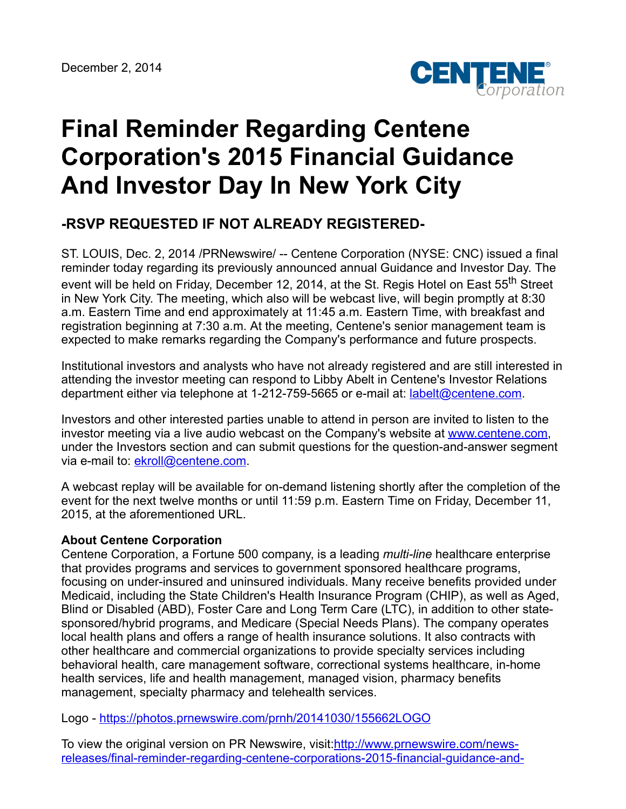

## **Final Reminder Regarding Centene Corporation's 2015 Financial Guidance And Investor Day In New York City**

## **-RSVP REQUESTED IF NOT ALREADY REGISTERED-**

ST. LOUIS, Dec. 2, 2014 /PRNewswire/ -- Centene Corporation (NYSE: CNC) issued a final reminder today regarding its previously announced annual Guidance and Investor Day. The event will be held on Friday, December 12, 2014, at the St. Regis Hotel on East 55<sup>th</sup> Street in New York City. The meeting, which also will be webcast live, will begin promptly at 8:30 a.m. Eastern Time and end approximately at 11:45 a.m. Eastern Time, with breakfast and registration beginning at 7:30 a.m. At the meeting, Centene's senior management team is expected to make remarks regarding the Company's performance and future prospects.

Institutional investors and analysts who have not already registered and are still interested in attending the investor meeting can respond to Libby Abelt in Centene's Investor Relations department either via telephone at 1-212-759-5665 or e-mail at: [labelt@centene.com.](mailto:labelt@centene.com)

Investors and other interested parties unable to attend in person are invited to listen to the investor meeting via a live audio webcast on the Company's website at [www.centene.com,](http://www.centene.com/) under the Investors section and can submit questions for the question-and-answer segment via e-mail to: [ekroll@centene.com.](mailto:Questions@centene.com)

A webcast replay will be available for on-demand listening shortly after the completion of the event for the next twelve months or until 11:59 p.m. Eastern Time on Friday, December 11, 2015, at the aforementioned URL.

## **About Centene Corporation**

Centene Corporation, a Fortune 500 company, is a leading *multi-line* healthcare enterprise that provides programs and services to government sponsored healthcare programs, focusing on under-insured and uninsured individuals. Many receive benefits provided under Medicaid, including the State Children's Health Insurance Program (CHIP), as well as Aged, Blind or Disabled (ABD), Foster Care and Long Term Care (LTC), in addition to other statesponsored/hybrid programs, and Medicare (Special Needs Plans). The company operates local health plans and offers a range of health insurance solutions. It also contracts with other healthcare and commercial organizations to provide specialty services including behavioral health, care management software, correctional systems healthcare, in-home health services, life and health management, managed vision, pharmacy benefits management, specialty pharmacy and telehealth services.

Logo - <https://photos.prnewswire.com/prnh/20141030/155662LOGO>

To view the original version on PR Newswire, visit:http://www.prnewswire.com/news[releases/final-reminder-regarding-centene-corporations-2015-financial-guidance-and-](http://www.prnewswire.com/news-releases/final-reminder-regarding-centene-corporations-2015-financial-guidance-and-investor-day-in-new-york-city-300002908.html)